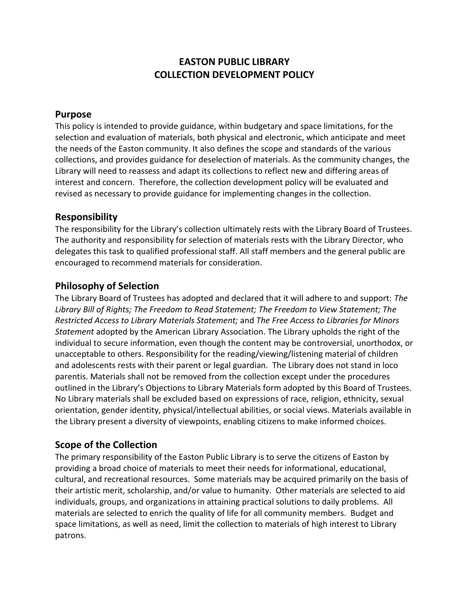# **EASTON PUBLIC LIBRARY COLLECTION DEVELOPMENT POLICY**

#### **Purpose**

This policy is intended to provide guidance, within budgetary and space limitations, for the selection and evaluation of materials, both physical and electronic, which anticipate and meet the needs of the Easton community. It also defines the scope and standards of the various collections, and provides guidance for deselection of materials. As the community changes, the Library will need to reassess and adapt its collections to reflect new and differing areas of interest and concern. Therefore, the collection development policy will be evaluated and revised as necessary to provide guidance for implementing changes in the collection.

#### **Responsibility**

The responsibility for the Library's collection ultimately rests with the Library Board of Trustees. The authority and responsibility for selection of materials rests with the Library Director, who delegates this task to qualified professional staff. All staff members and the general public are encouraged to recommend materials for consideration.

### **Philosophy of Selection**

The Library Board of Trustees has adopted and declared that it will adhere to and support: *The Library Bill of Rights; The Freedom to Read Statement; The Freedom to View Statement; The Restricted Access to Library Materials Statement;* and *The Free Access to Libraries for Minors Statement* adopted by the American Library Association. The Library upholds the right of the individual to secure information, even though the content may be controversial, unorthodox, or unacceptable to others. Responsibility for the reading/viewing/listening material of children and adolescents rests with their parent or legal guardian. The Library does not stand in loco parentis. Materials shall not be removed from the collection except under the procedures outlined in the Library's Objections to Library Materials form adopted by this Board of Trustees. No Library materials shall be excluded based on expressions of race, religion, ethnicity, sexual orientation, gender identity, physical/intellectual abilities, or social views. Materials available in the Library present a diversity of viewpoints, enabling citizens to make informed choices.

## **Scope of the Collection**

The primary responsibility of the Easton Public Library is to serve the citizens of Easton by providing a broad choice of materials to meet their needs for informational, educational, cultural, and recreational resources. Some materials may be acquired primarily on the basis of their artistic merit, scholarship, and/or value to humanity. Other materials are selected to aid individuals, groups, and organizations in attaining practical solutions to daily problems. All materials are selected to enrich the quality of life for all community members. Budget and space limitations, as well as need, limit the collection to materials of high interest to Library patrons.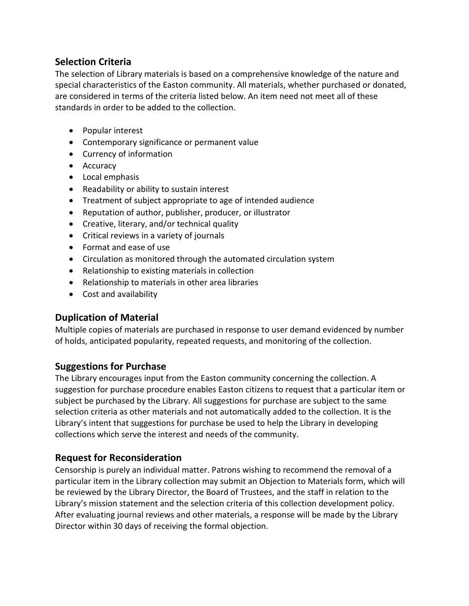## **Selection Criteria**

The selection of Library materials is based on a comprehensive knowledge of the nature and special characteristics of the Easton community. All materials, whether purchased or donated, are considered in terms of the criteria listed below. An item need not meet all of these standards in order to be added to the collection.

- Popular interest
- Contemporary significance or permanent value
- Currency of information
- Accuracy
- Local emphasis
- Readability or ability to sustain interest
- Treatment of subject appropriate to age of intended audience
- Reputation of author, publisher, producer, or illustrator
- Creative, literary, and/or technical quality
- Critical reviews in a variety of journals
- Format and ease of use
- Circulation as monitored through the automated circulation system
- Relationship to existing materials in collection
- Relationship to materials in other area libraries
- Cost and availability

### **Duplication of Material**

Multiple copies of materials are purchased in response to user demand evidenced by number of holds, anticipated popularity, repeated requests, and monitoring of the collection.

### **Suggestions for Purchase**

The Library encourages input from the Easton community concerning the collection. A suggestion for purchase procedure enables Easton citizens to request that a particular item or subject be purchased by the Library. All suggestions for purchase are subject to the same selection criteria as other materials and not automatically added to the collection. It is the Library's intent that suggestions for purchase be used to help the Library in developing collections which serve the interest and needs of the community.

## **Request for Reconsideration**

Censorship is purely an individual matter. Patrons wishing to recommend the removal of a particular item in the Library collection may submit an Objection to Materials form, which will be reviewed by the Library Director, the Board of Trustees, and the staff in relation to the Library's mission statement and the selection criteria of this collection development policy. After evaluating journal reviews and other materials, a response will be made by the Library Director within 30 days of receiving the formal objection.